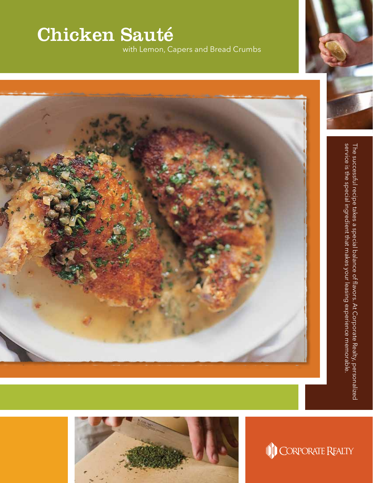## Chicken Sauté

with Lemon, Capers and Bread Crumbs